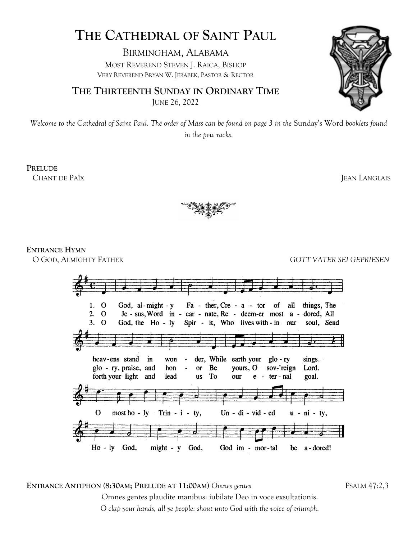# **THE CATHEDRAL OF SAINT PAUL**

BIRMINGHAM, ALABAMA MOST REVEREND STEVEN J. RAICA, BISHOP VERY REVEREND BRYAN W. JERABEK, PASTOR & RECTOR

**THE THIRTEENTH SUNDAY IN ORDINARY TIME** JUNE 26, 2022



*Welcome to the Cathedral of Saint Paul. The order of Mass can be found on page 3 in the* Sunday's Word *booklets found in the pew racks.*

**PRELUDE** 

CHANT DE PAÏX **JEAN LANGLAIS** 



**ENTRANCE HYMN** 

O GOD, ALMIGHTY FATHER *GOTT VATER SEI GEPRIESEN* 



**ENTRANCE ANTIPHON (8:30AM; PRELUDE AT 11:00AM)** *Omnes gentes*PSALM 47:2,3 Omnes gentes plaudite manibus: iubilate Deo in voce exsultationis. *O clap your hands, all ye people: shout unto God with the voice of triumph.*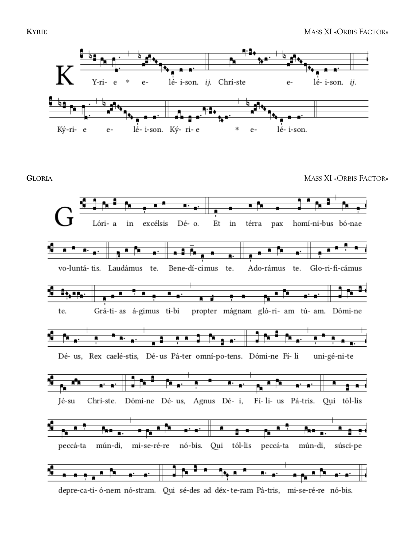

**GLORIA** MASS XI «ORBIS FACTOR»



depre-ca-ti-ó-nem nó-stram. Qui sé-des ad déx-te-ram Pá-tris, mi-se-ré-re nó-bis.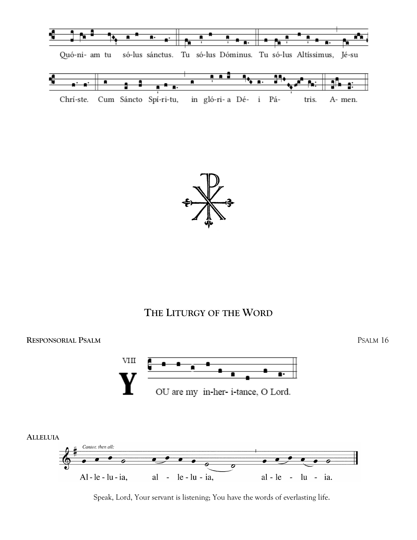



## **THE LITURGY OF THE WORD**



Speak, Lord, Your servant is listening; You have the words of everlasting life.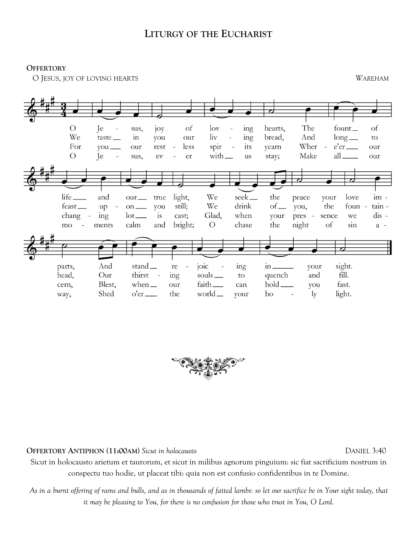### **LITURGY OF THE EUCHARIST**

**OFFERTORY**

O JESUS, JOY OF LOVING HEARTS *WAREHAM*





**OFFERTORY ANTIPHON (11:00AM)** *Sicut in holocausto*DANIEL 3:40

Sicut in holocausto arietum et taurorum, et sicut in milibus agnorum pinguium: sic fiat sacrificium nostrum in conspectu tuo hodie, ut placeat tibi: quia non est confusio confidentibus in te Domine.

*As in a burnt offering of rams and bulls, and as in thousands of fatted lambs: so let our sacrifice be in Your sight today, that it may be pleasing to You, for there is no confusion for those who trust in You, O Lord.*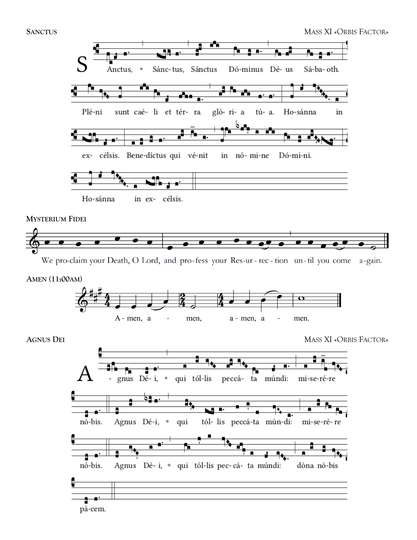

**MYSTERIUM FIDEI**



We pro-claim your Death, O Lord, and pro-fess your Res-ur-rec-tion un-til you come a-gain.





**AGNUS DEI** MASS XI «ORBIS FACTOR»

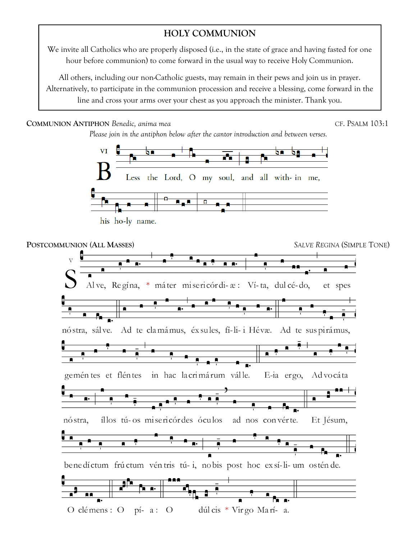## **HOLY COMMUNION**

We invite all Catholics who are properly disposed (i.e., in the state of grace and having fasted for one hour before communion) to come forward in the usual way to receive Holy Communion.

All others, including our non-Catholic guests, may remain in their pews and join us in prayer. Alternatively, to participate in the communion procession and receive a blessing, come forward in the line and cross your arms over your chest as you approach the minister. Thank you.

**COMMUNION ANTIPHON** *Benedic, anima mea*CF. PSALM 103:1

*Please join in the antiphon below after the cantor introduction and between verses.*



his ho-ly name.

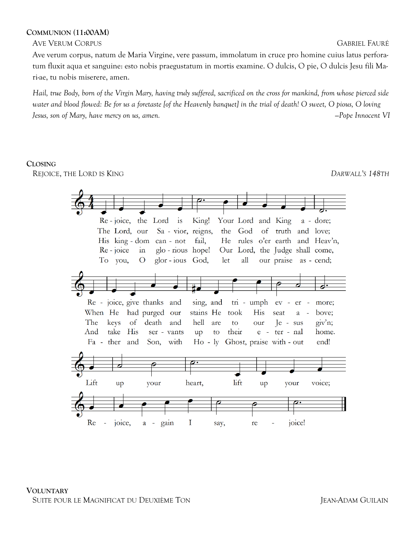#### **COMMUNION (11:00AM)**

AVE VERUM CORPUS GABRIEL FAURÉ

Ave verum corpus, natum de Maria Virgine, vere passum, immolatum in cruce pro homine cuius latus perforatum fluxit aqua et sanguine: esto nobis praegustatum in mortis examine. O dulcis, O pie, O dulcis Jesu fili Mari-ae, tu nobis miserere, amen.

*Hail, true Body, born of the Virgin Mary, having truly suffered, sacrificed on the cross for mankind, from whose pierced side water and blood flowed: Be for us a foretaste [of the Heavenly banquet] in the trial of death! O sweet, O pious, O loving Jesus, son of Mary, have mercy on us, amen. —Pope Innocent VI* 

#### **CLOSING**

REJOICE, THE LORD IS KING *DARWALL'S 148TH*